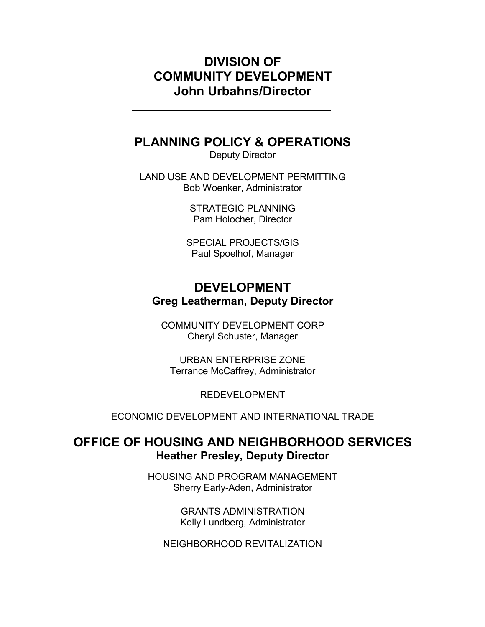## DIVISION OF COMMUNITY DEVELOPMENT John Urbahns/Director

## PLANNING POLICY & OPERATIONS

Deputy Director

LAND USE AND DEVELOPMENT PERMITTING Bob Woenker, Administrator

> STRATEGIC PLANNING Pam Holocher, Director

SPECIAL PROJECTS/GIS Paul Spoelhof, Manager

# DEVELOPMENT Greg Leatherman, Deputy Director

COMMUNITY DEVELOPMENT CORP Cheryl Schuster, Manager

URBAN ENTERPRISE ZONE Terrance McCaffrey, Administrator

REDEVELOPMENT

ECONOMIC DEVELOPMENT AND INTERNATIONAL TRADE

## OFFICE OF HOUSING AND NEIGHBORHOOD SERVICES Heather Presley, Deputy Director

HOUSING AND PROGRAM MANAGEMENT Sherry Early-Aden, Administrator

> GRANTS ADMINISTRATION Kelly Lundberg, Administrator

NEIGHBORHOOD REVITALIZATION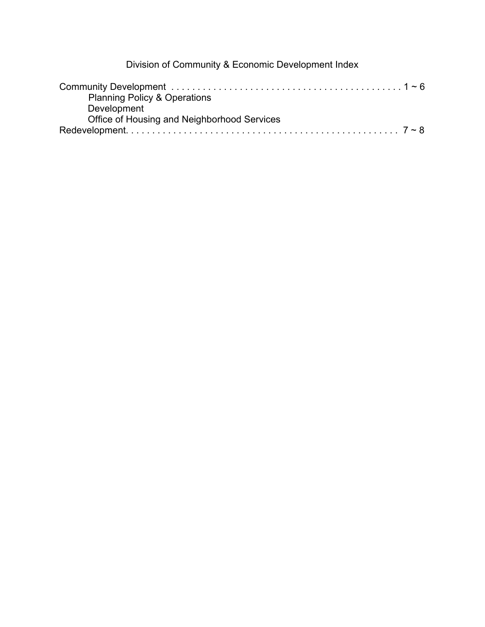Division of Community & Economic Development Index

| <b>Planning Policy &amp; Operations</b>     |  |
|---------------------------------------------|--|
| Development                                 |  |
| Office of Housing and Neighborhood Services |  |
|                                             |  |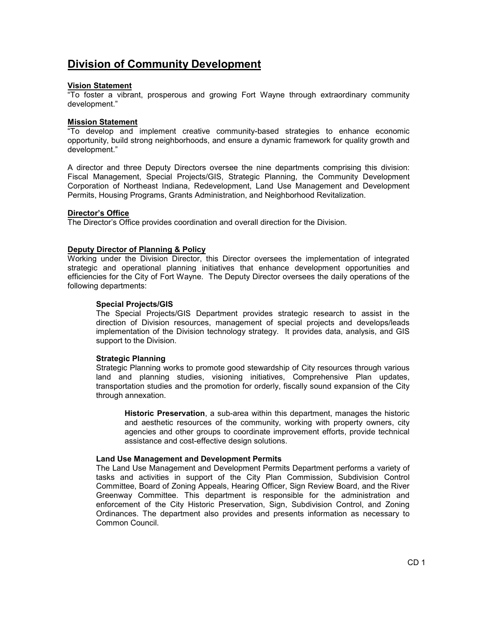## Division of Community Development

#### Vision Statement

"To foster a vibrant, prosperous and growing Fort Wayne through extraordinary community development."

#### Mission Statement

"To develop and implement creative community-based strategies to enhance economic opportunity, build strong neighborhoods, and ensure a dynamic framework for quality growth and development."

A director and three Deputy Directors oversee the nine departments comprising this division: Fiscal Management, Special Projects/GIS, Strategic Planning, the Community Development Corporation of Northeast Indiana, Redevelopment, Land Use Management and Development Permits, Housing Programs, Grants Administration, and Neighborhood Revitalization.

### Director's Office

The Director's Office provides coordination and overall direction for the Division.

### Deputy Director of Planning & Policy

Working under the Division Director, this Director oversees the implementation of integrated strategic and operational planning initiatives that enhance development opportunities and efficiencies for the City of Fort Wayne. The Deputy Director oversees the daily operations of the following departments:

#### Special Projects/GIS

The Special Projects/GIS Department provides strategic research to assist in the direction of Division resources, management of special projects and develops/leads implementation of the Division technology strategy. It provides data, analysis, and GIS support to the Division.

#### Strategic Planning

Strategic Planning works to promote good stewardship of City resources through various land and planning studies, visioning initiatives, Comprehensive Plan updates, transportation studies and the promotion for orderly, fiscally sound expansion of the City through annexation.

Historic Preservation, a sub-area within this department, manages the historic and aesthetic resources of the community, working with property owners, city agencies and other groups to coordinate improvement efforts, provide technical assistance and cost-effective design solutions.

#### Land Use Management and Development Permits

The Land Use Management and Development Permits Department performs a variety of tasks and activities in support of the City Plan Commission, Subdivision Control Committee, Board of Zoning Appeals, Hearing Officer, Sign Review Board, and the River Greenway Committee. This department is responsible for the administration and enforcement of the City Historic Preservation, Sign, Subdivision Control, and Zoning Ordinances. The department also provides and presents information as necessary to Common Council.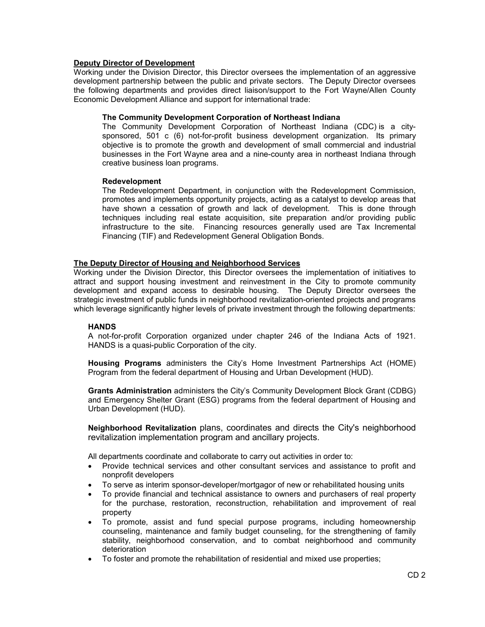### Deputy Director of Development

Working under the Division Director, this Director oversees the implementation of an aggressive development partnership between the public and private sectors. The Deputy Director oversees the following departments and provides direct liaison/support to the Fort Wayne/Allen County Economic Development Alliance and support for international trade:

#### The Community Development Corporation of Northeast Indiana

The Community Development Corporation of Northeast Indiana (CDC) is a citysponsored, 501 c (6) not-for-profit business development organization. Its primary objective is to promote the growth and development of small commercial and industrial businesses in the Fort Wayne area and a nine-county area in northeast Indiana through creative business loan programs.

#### Redevelopment

The Redevelopment Department, in conjunction with the Redevelopment Commission, promotes and implements opportunity projects, acting as a catalyst to develop areas that have shown a cessation of growth and lack of development. This is done through techniques including real estate acquisition, site preparation and/or providing public infrastructure to the site. Financing resources generally used are Tax Incremental Financing (TIF) and Redevelopment General Obligation Bonds.

### The Deputy Director of Housing and Neighborhood Services

Working under the Division Director, this Director oversees the implementation of initiatives to attract and support housing investment and reinvestment in the City to promote community development and expand access to desirable housing. The Deputy Director oversees the strategic investment of public funds in neighborhood revitalization-oriented projects and programs which leverage significantly higher levels of private investment through the following departments:

### **HANDS**

A not-for-profit Corporation organized under chapter 246 of the Indiana Acts of 1921. HANDS is a quasi-public Corporation of the city.

Housing Programs administers the City's Home Investment Partnerships Act (HOME) Program from the federal department of Housing and Urban Development (HUD).

Grants Administration administers the City's Community Development Block Grant (CDBG) and Emergency Shelter Grant (ESG) programs from the federal department of Housing and Urban Development (HUD).

Neighborhood Revitalization plans, coordinates and directs the City's neighborhood revitalization implementation program and ancillary projects.

All departments coordinate and collaborate to carry out activities in order to:

- Provide technical services and other consultant services and assistance to profit and nonprofit developers
- To serve as interim sponsor-developer/mortgagor of new or rehabilitated housing units
- To provide financial and technical assistance to owners and purchasers of real property for the purchase, restoration, reconstruction, rehabilitation and improvement of real property
- To promote, assist and fund special purpose programs, including homeownership counseling, maintenance and family budget counseling, for the strengthening of family stability, neighborhood conservation, and to combat neighborhood and community deterioration
- To foster and promote the rehabilitation of residential and mixed use properties;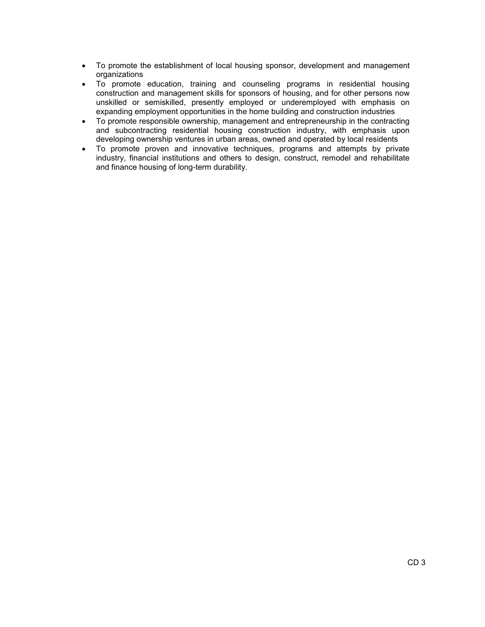- To promote the establishment of local housing sponsor, development and management organizations
- To promote education, training and counseling programs in residential housing construction and management skills for sponsors of housing, and for other persons now unskilled or semiskilled, presently employed or underemployed with emphasis on expanding employment opportunities in the home building and construction industries
- To promote responsible ownership, management and entrepreneurship in the contracting and subcontracting residential housing construction industry, with emphasis upon developing ownership ventures in urban areas, owned and operated by local residents
- To promote proven and innovative techniques, programs and attempts by private industry, financial institutions and others to design, construct, remodel and rehabilitate and finance housing of long-term durability.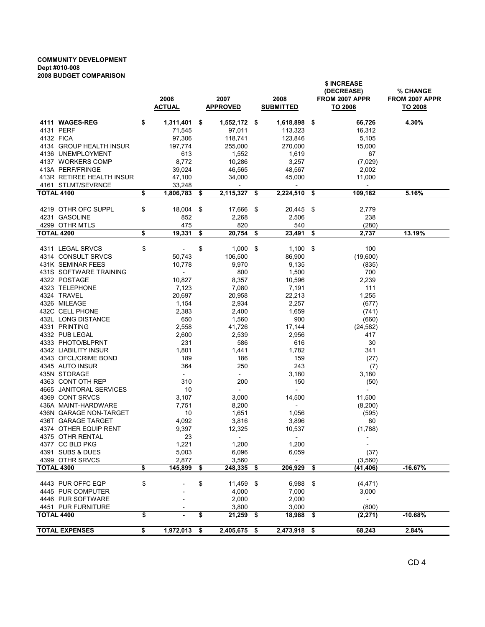#### COMMUNITY DEVELOPMENT Dept #010-008 2008 BUDGET COMPARISON

|                           | 2006<br><b>ACTUAL</b>          | 2007<br><b>APPROVED</b> |                          |      | 2008<br><b>SUBMITTED</b> |     | \$ INCREASE<br>(DECREASE)<br>FROM 2007 APPR<br>TO 2008 | <b>% CHANGE</b><br>FROM 2007 APPR<br>TO 2008 |
|---------------------------|--------------------------------|-------------------------|--------------------------|------|--------------------------|-----|--------------------------------------------------------|----------------------------------------------|
| 4111 WAGES-REG            | \$<br>$1,311,401$ \$           |                         | 1,552,172 \$             |      | 1,618,898                | \$  | 66,726                                                 | 4.30%                                        |
| 4131 PERF                 | 71,545                         |                         | 97,011                   |      | 113,323                  |     | 16,312                                                 |                                              |
| 4132 FICA                 | 97,306                         |                         | 118,741                  |      | 123,846                  |     | 5,105                                                  |                                              |
| 4134 GROUP HEALTH INSUR   | 197,774                        |                         | 255,000                  |      | 270,000                  |     | 15,000                                                 |                                              |
| 4136 UNEMPLOYMENT         | 613                            |                         | 1,552                    |      | 1,619                    |     | 67                                                     |                                              |
| 4137 WORKERS COMP         | 8,772                          |                         | 10,286                   |      | 3,257                    |     | (7,029)                                                |                                              |
| 413A PERF/FRINGE          | 39,024                         |                         | 46,565                   |      | 48,567                   |     | 2,002                                                  |                                              |
| 413R RETIREE HEALTH INSUR | 47,100                         |                         | 34,000                   |      | 45,000                   |     | 11,000                                                 |                                              |
| 4161 STLMT/SEVRNCE        | 33,248                         |                         | $\overline{\phantom{a}}$ |      | $\overline{\phantom{a}}$ |     | $\overline{\phantom{a}}$                               |                                              |
| <b>TOTAL 4100</b>         | \$<br>1,806,783                | - \$                    | 2,115,327                | \$   | 2,224,510                | \$  | 109,182                                                | 5.16%                                        |
|                           |                                |                         |                          |      |                          |     |                                                        |                                              |
| 4219 OTHR OFC SUPPL       | \$<br>18,004                   | -\$                     | 17,666                   | -\$  | 20,445                   | -\$ | 2,779                                                  |                                              |
| 4231 GASOLINE             | 852                            |                         | 2,268                    |      | 2,506                    |     | 238                                                    |                                              |
| 4299 OTHR MTLS            | 475                            |                         | 820                      |      | 540                      |     | (280)                                                  |                                              |
| <b>TOTAL 4200</b>         | \$<br>19,331                   | \$                      | 20,754                   | \$   | 23,491                   | \$  | 2,737                                                  | 13.19%                                       |
| 4311 LEGAL SRVCS          | \$<br>$\overline{\phantom{a}}$ | \$                      | 1,000                    | - \$ | 1,100                    | -\$ | 100                                                    |                                              |
| 4314 CONSULT SRVCS        | 50,743                         |                         | 106,500                  |      | 86,900                   |     | (19,600)                                               |                                              |
| 431K SEMINAR FEES         | 10,778                         |                         | 9,970                    |      | 9,135                    |     | (835)                                                  |                                              |
| 431S SOFTWARE TRAINING    | $\overline{\phantom{a}}$       |                         | 800                      |      | 1,500                    |     | 700                                                    |                                              |
| 4322 POSTAGE              | 10,827                         |                         | 8,357                    |      | 10,596                   |     | 2,239                                                  |                                              |
| 4323 TELEPHONE            | 7,123                          |                         | 7,080                    |      | 7,191                    |     | 111                                                    |                                              |
| 4324 TRAVEL               | 20,697                         |                         | 20,958                   |      | 22,213                   |     | 1,255                                                  |                                              |
| 4326 MILEAGE              | 1,154                          |                         | 2,934                    |      | 2,257                    |     | (677)                                                  |                                              |
| 432C CELL PHONE           | 2,383                          |                         | 2,400                    |      | 1,659                    |     | (741)                                                  |                                              |
| 432L LONG DISTANCE        | 650                            |                         | 1,560                    |      | 900                      |     | (660)                                                  |                                              |
| 4331 PRINTING             | 2,558                          |                         | 41,726                   |      | 17,144                   |     | (24, 582)                                              |                                              |
| 4332 PUB LEGAL            | 2,600                          |                         | 2,539                    |      | 2,956                    |     | 417                                                    |                                              |
| 4333 PHOTO/BLPRNT         | 231                            |                         | 586                      |      | 616                      |     | 30                                                     |                                              |
| 4342 LIABILITY INSUR      | 1,801                          |                         | 1,441                    |      | 1,782                    |     | 341                                                    |                                              |
| 4343 OFCL/CRIME BOND      | 189                            |                         | 186                      |      | 159                      |     | (27)                                                   |                                              |
| 4345 AUTO INSUR           | 364                            |                         | 250                      |      | 243                      |     | (7)                                                    |                                              |
| 435N STORAGE              | $\mathcal{L}^{\pm}$            |                         | $\sim$                   |      | 3,180                    |     | 3,180                                                  |                                              |
| 4363 CONT OTH REP         | 310                            |                         | 200                      |      | 150                      |     | (50)                                                   |                                              |
| 4665 JANITORAL SERVICES   | 10                             |                         | $\overline{\phantom{a}}$ |      | $\sim$                   |     | $\overline{a}$                                         |                                              |
| 4369 CONT SRVCS           | 3,107                          |                         | 3,000                    |      | 14,500                   |     | 11,500                                                 |                                              |
| 436A MAINT-HARDWARE       | 7,751                          |                         | 8,200                    |      | $\overline{\phantom{a}}$ |     | (8,200)                                                |                                              |
| 436N GARAGE NON-TARGET    | 10                             |                         | 1,651                    |      | 1,056                    |     | (595)                                                  |                                              |
| 436T GARAGE TARGET        | 4.092                          |                         | 3,816                    |      | 3,896                    |     | 80                                                     |                                              |
| 4374 OTHER EQUIP RENT     | 9,397                          |                         | 12,325                   |      | 10,537                   |     | (1,788)                                                |                                              |
| 4375 OTHR RENTAL          | 23                             |                         |                          |      |                          |     |                                                        |                                              |
| 4377 CC BLD PKG           | 1,221                          |                         | 1,200                    |      | 1,200                    |     | $ \,$                                                  |                                              |
| 4391 SUBS & DUES          | 5,003                          |                         | 6,096                    |      | 6,059                    |     | (37)                                                   |                                              |
| 4399 OTHR SRVCS           | 2,877                          |                         | 3,560                    |      | $\blacksquare$           |     | (3, 560)                                               |                                              |
| <b>TOTAL 4300</b>         | \$<br>145,899 \$               |                         | 248,335 \$               |      | 206,929                  | \$  | (41,406)                                               | $-16.67%$                                    |
|                           |                                |                         |                          |      |                          |     |                                                        |                                              |
| 4443 PUR OFFC EQP         | \$                             | \$                      | 11,459 \$                |      | 6,988 \$                 |     | (4, 471)                                               |                                              |
| 4445 PUR COMPUTER         |                                |                         | 4,000                    |      | 7,000                    |     | 3,000                                                  |                                              |
| 4446 PUR SOFTWARE         |                                |                         | 2,000                    |      | 2,000                    |     | $\overline{\phantom{a}}$                               |                                              |
| 4451 PUR FURNITURE        |                                |                         | 3,800                    |      | 3,000                    |     | (800)                                                  |                                              |
| <b>TOTAL 4400</b>         | \$<br>$\blacksquare$           | \$                      | 21,259 \$                |      | 18,988                   | \$  | (2, 271)                                               | $-10.68%$                                    |
| <b>TOTAL EXPENSES</b>     | \$<br>$1,972,013$ \$           |                         | $2,405,675$ \$           |      | $2,473,918$ \$           |     | 68,243                                                 | 2.84%                                        |
|                           |                                |                         |                          |      |                          |     |                                                        |                                              |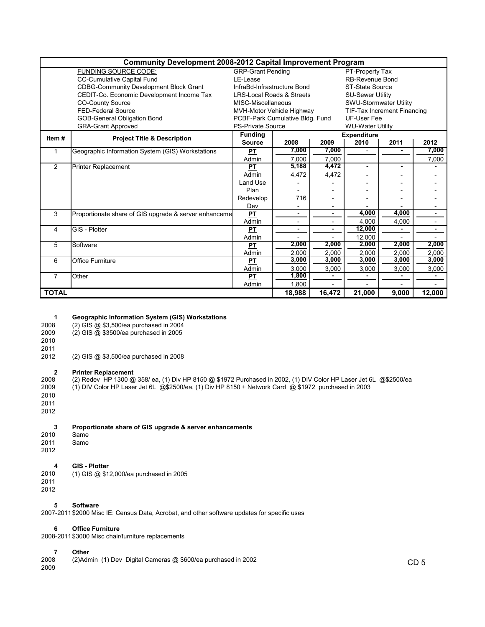|              | <b>Community Development 2008-2012 Capital Improvement Program</b> |                                                |        |                |                         |                                    |                |  |  |  |  |  |  |  |
|--------------|--------------------------------------------------------------------|------------------------------------------------|--------|----------------|-------------------------|------------------------------------|----------------|--|--|--|--|--|--|--|
|              | <b>FUNDING SOURCE CODE:</b>                                        | <b>GRP-Grant Pending</b><br>PT-Property Tax    |        |                |                         |                                    |                |  |  |  |  |  |  |  |
|              | <b>CC-Cumulative Capital Fund</b><br>LE-Lease                      | <b>RB-Revenue Bond</b>                         |        |                |                         |                                    |                |  |  |  |  |  |  |  |
|              | <b>CDBG-Community Development Block Grant</b>                      | InfraBd-Infrastructure Bond<br>ST-State Source |        |                |                         |                                    |                |  |  |  |  |  |  |  |
|              | CEDIT-Co. Economic Development Income Tax                          | <b>LRS-Local Roads &amp; Streets</b>           |        |                | <b>SU-Sewer Utility</b> |                                    |                |  |  |  |  |  |  |  |
|              | <b>CO-County Source</b>                                            | MISC-Miscellaneous                             |        |                | SWU-Stormwater Utility  |                                    |                |  |  |  |  |  |  |  |
|              | <b>FED-Federal Source</b>                                          | MVH-Motor Vehicle Highway                      |        |                |                         | <b>TIF-Tax Increment Financing</b> |                |  |  |  |  |  |  |  |
|              | <b>GOB-General Obligation Bond</b>                                 | PCBF-Park Cumulative Bldg. Fund                |        |                | <b>UF-User Fee</b>      |                                    |                |  |  |  |  |  |  |  |
|              | <b>GRA-Grant Approved</b>                                          | <b>PS-Private Source</b>                       |        |                | <b>WU-Water Utility</b> |                                    |                |  |  |  |  |  |  |  |
| Item#        | <b>Project Title &amp; Description</b>                             | <b>Funding</b>                                 |        |                | <b>Expenditure</b>      |                                    |                |  |  |  |  |  |  |  |
|              |                                                                    | <b>Source</b>                                  | 2008   | 2009           | 2010                    | 2011                               | 2012           |  |  |  |  |  |  |  |
|              | Geographic Information System (GIS) Workstations                   | PT                                             | 7,000  | 7.000          |                         |                                    | 7,000          |  |  |  |  |  |  |  |
|              |                                                                    | Admin                                          | 7.000  | 7.000          |                         |                                    | 7,000          |  |  |  |  |  |  |  |
| 2            | Printer Replacement                                                | PT                                             | 5,188  | 4,472          | ۰                       | ۰.                                 |                |  |  |  |  |  |  |  |
|              |                                                                    | Admin                                          | 4.472  | 4,472          |                         |                                    |                |  |  |  |  |  |  |  |
|              |                                                                    | Land Use                                       |        |                |                         |                                    |                |  |  |  |  |  |  |  |
|              |                                                                    | Plan                                           |        |                |                         |                                    |                |  |  |  |  |  |  |  |
|              |                                                                    | Redevelop                                      | 716    |                |                         |                                    |                |  |  |  |  |  |  |  |
|              |                                                                    | Dev                                            |        |                |                         |                                    |                |  |  |  |  |  |  |  |
| 3            | Proportionate share of GIS upgrade & server enhanceme              | PT                                             | ٠      | ٠              | 4,000                   | 4,000                              | ٠              |  |  |  |  |  |  |  |
|              |                                                                    | Admin                                          |        |                | 4.000                   | 4.000                              |                |  |  |  |  |  |  |  |
| 4            | GIS - Plotter                                                      | <b>PT</b>                                      | ۰      | $\blacksquare$ | 12,000                  |                                    | $\blacksquare$ |  |  |  |  |  |  |  |
|              |                                                                    | Admin                                          |        |                | 12,000                  |                                    |                |  |  |  |  |  |  |  |
| 5            | Software                                                           | PT                                             | 2,000  | 2,000          | 2,000                   | 2,000                              | 2,000          |  |  |  |  |  |  |  |
|              |                                                                    | Admin                                          | 2,000  | 2.000          | 2.000                   | 2,000                              | 2.000          |  |  |  |  |  |  |  |
| 6            | <b>Office Furniture</b>                                            | <b>PT</b>                                      | 3,000  | 3,000          | 3,000                   | 3,000                              | 3,000          |  |  |  |  |  |  |  |
|              |                                                                    | Admin                                          | 3,000  | 3,000          | 3,000                   | 3,000                              | 3,000          |  |  |  |  |  |  |  |
| 7            | Other                                                              | PT                                             | 1,800  | $\blacksquare$ |                         | ٠                                  | $\blacksquare$ |  |  |  |  |  |  |  |
|              |                                                                    | Admin                                          | 1,800  |                |                         |                                    |                |  |  |  |  |  |  |  |
| <b>TOTAL</b> |                                                                    |                                                | 18.988 | 16,472         | 21,000                  | 9.000                              | 12,000         |  |  |  |  |  |  |  |

## 1 Geographic Information System (GIS) Workstations<br>2008 (2) GIS @ \$3.500/ea purchased in 2004

2008 (2) GIS @ \$3,500/ea purchased in 2004<br>2009 (2) GIS @ \$3500/ea purchased in 2005

(2) GIS @ \$3500/ea purchased in 2005

2010

2011<br>2012 (2) GIS @ \$3,500/ea purchased in 2008

2008 Printer Replacement<br>2008 (2) Redev HP 1300 @ 2008 (2) Redev HP 1300 @ 358/ ea, (1) Div HP 8150 @ \$1972 Purchased in 2002, (1) DIV Color HP Laser Jet 6L @\$2500/ea<br>2009 (1) DIV Color HP Laser Jet 6L @\$2500/ea, (1) Div HP 8150 + Network Card @ \$1972 purchased in 2003 2009 (1) DIV Color HP Laser Jet 6L @\$2500/ea, (1) Div HP 8150 + Network Card @ \$1972 purchased in 2003 2010 2011 2012

# 3 Proportionate share of GIS upgrade & server enhancements<br>2010 Same

- 2010 Same<br>2011 Same
- Same

## 2012

# 4 GIS - Plotter<br>2010 (1) GIS @ \$1.

- 2010 (1) GIS @ \$12,000/ea purchased in 2005 2011
- 2012

#### 5 Software

2007-2011\$2000 Misc IE: Census Data, Acrobat, and other software updates for specific uses

#### 6 Office Furniture

2008-2011\$3000 Misc chair/furniture replacements

**7 Other**<br>2008 (2)Adr 2008 (2)Admin (1) Dev Digital Cameras @ \$600/ea purchased in 2002 2009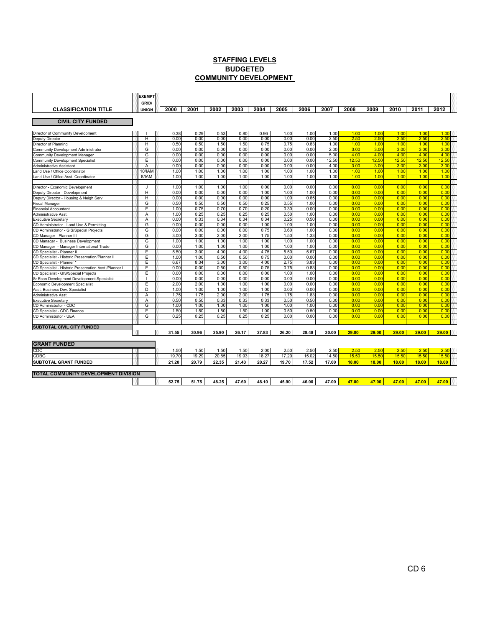#### STAFFING LEVELS COMMUNITY DEVELOPMENT BUDGETED

|                                                                                     | <b>EXEMPT</b>         |              |              |              |              |              |              |              |              |              |              |              |              |              |  |
|-------------------------------------------------------------------------------------|-----------------------|--------------|--------------|--------------|--------------|--------------|--------------|--------------|--------------|--------------|--------------|--------------|--------------|--------------|--|
| <b>CLASSIFICATION TITLE</b>                                                         | GRID/<br><b>UNION</b> | 2000         | 2001         | 2002         | 2003         | 2004         | 2005         | 2006         | 2007         | 2008         | 2009         | 2010         | 2011         | 2012         |  |
|                                                                                     |                       |              |              |              |              |              |              |              |              |              |              |              |              |              |  |
| <b>CIVIL CITY FUNDED</b>                                                            |                       |              |              |              |              |              |              |              |              |              |              |              |              |              |  |
| Director of Community Development                                                   |                       | 0.38         | 0.29         | 0.53         | 0.80         | 0.96         | 1.00         | 1.00         | 1.00         | 1.00         | 1.00         | 1.00         | 1.00         | 1.00         |  |
| Deputy Director                                                                     | H                     | 0.00         | 0.00         | 0.00         | 0.00         | 0.00         | 0.00         | 0.00         | 2.50         | 2.50         | 2.50         | 2.50         | 2.50         | 2.50         |  |
| Director of Planning                                                                | H                     | 0.50         | 0.50         | 1.50         | 1.50         | 0.75         | 0.75         | 0.83         | 1.00         | 1.00         | 1.00         | 1.00         | 1.00         | 1.00         |  |
| Community Development Administrator                                                 | G                     | 0.00         | 0.00         | 0.00         | 0.00         | 0.00         | 0.00         | 0.00         | 2.00         | 3.00         | 3.00         | 3.00         | 3.00         | 3.00         |  |
| Community Development Manager                                                       | G                     | 0.00         | 0.00         | 0.00         | 0.00         | 0.00         | 0.00         | 0.00         | 5.00         | 4.00         | 4.00         | 4.00         | 4.00         | 4.00         |  |
| Community Development Specialist                                                    | Ε                     | 0.00         | 0.00         | 0.00         | 0.00         | 0.00         | 0.00         | 0.00         | 12.50        | 12.50        | 12.50        | 12.50        | 12.50        | 12.50        |  |
| Administrative Assistant                                                            | A                     | 0.00         | 0.00         | 0.00         | 0.00         | 0.00         | 0.00         | 0.00         | 4.00         | 3.00         | 3.00         | 3.00         | 3.00         | 3.00         |  |
| and Use / Office Coordinator                                                        | 10/IAN                | 1.00         | 1.00         | 1.00         | 1.00         | 1.00         | 1.00         | 1.00         | 1.00         | 1.00         | 1.00         | 1.00         | 1.00         | 1.0(         |  |
| and Use / Office Asst. Coordinator                                                  | 8/IAM                 | 1.00         | 1.00         | 1.00         | 1.00         | 1.00         | 1.00         | 1.00         | 1.00         | 1.00         | 1.00         | 1.00         | 1.00         | 1.00         |  |
|                                                                                     | IJ                    | 1.00         | 1.00         | 1.00         | 1.00         | 0.00         | 0.00         | 0.00         | 0.00         | 0.0(         | 0.0(         | 0.00         | 0.00         | 0.00         |  |
| Director - Economic Development<br>Deputy Director - Development                    | н                     | 0.00         | 0.00         | 0.00         | 0.00         | 1.00         | 1.00         | 1.00         | 0.00         | 0.00         | 0.00         | 0.00         | 0.00         | 0.00         |  |
| Deputy Director - Housing & Neigh Serv                                              | H                     | 0.00         | 0.00         | 0.00         | 0.00         | 0.00         | 1.00         | 0.65         | 0.00         | 0.00         | 0.00         | 0.00         | 0.00         | 0.00         |  |
|                                                                                     | G                     | 0.50         | 0.50         | 0.50         | 0.50         | 0.25         | 0.55         | 1.00         | 0.00         | 0.00         | 0.00         | 0.00         | 0.00         | 0.00         |  |
| iscal Manager                                                                       | Έ                     | 1.00         | 0.75         | 0.70         | 0.70         | 0.20         | 0.30         | 0.00         | 0.00         | 0.00         | 0.00         | 0.00         | 0.00         | 0.00         |  |
| Financial Accountant                                                                | $\overline{A}$        | 1.00         | 0.25         | 0.25         | 0.25         | 0.25         | 0.50         |              | 0.00         | 0.00         | 0.00         | 0.00         | 0.00         | 0.0(         |  |
| Administrative Asst                                                                 | Α                     | 0.00         | 0.33         | 0.34         | 0.34         | 0.34         | 0.25         | 1.00<br>0.50 | 0.00         | 0.00         | 0.00         | 0.00         | 0.00         | 0.00         |  |
| Executive Secretary                                                                 | G                     | 0.00         | 0.00         | 0.00         | 0.00         | 1.00         | 1.00         | 1.00         | 0.00         | 0.00         | 0.00         | 0.00         | 0.00         | 0.00         |  |
| CD Administrator - Land Use & Permitting<br>CD Administrator - GIS/Special Projects | G                     | 0.00         | 0.00         | 0.00         | 0.00         | 0.75         | 0.60         | 1.00         | 0.00         | 0.00         | 0.00         | 0.00         | 0.00         | 0.00         |  |
|                                                                                     | G                     | 3.00         | 3.00         | 2.00         | 2.00         | 1.75         | 1.50         | 1.33         | 0.00         | 0.00         | 0.00         | 0.00         | 0.00         | 0.00         |  |
| CD Manager - Planner III                                                            | G                     | 1.00         | 1.00         | 1.00         | 1.00         | 1.00         | 1.00         | 1.00         | 0.00         | 0.00         | 0.00         | 0.00         | 0.00         | 0.00         |  |
| CD Manager - Business Development                                                   | G                     | 0.00         | 1.00         | 1.00         | 1.00         | 1.00         | 1.00         | 1.00         | 0.00         | 0.00         | 0.00         | 0.00         | 0.00         | 0.00         |  |
| CD Manager - Manager International Trade<br>CD Specialist - Planner II              | Ε                     | 5.50         | 3.00         | 4.00         | 4.00         | 4.75         | 5.50         | 5.67         | 0.00         | 0.00         | 0.00         | 0.00         | 0.00         | 0.00         |  |
|                                                                                     | Ε                     | 1.00         | 1.00         | 0.50         | 0.50         | 0.75         | 0.00         | 0.00         | 0.00         | 0.00         | 0.00         | 0.00         | 0.00         | 0.00         |  |
| CD Specialist - Historic Preservation/Planner II                                    | E                     |              |              |              |              |              |              |              | 0.00         | 0.00         | 0.00         | 0.00         | 0.00         | 0.00         |  |
| CD Specialist - Planner *                                                           |                       | 6.67<br>0.00 | 8.34<br>0.00 | 3.00         | 3.00<br>0.50 | 4.00<br>0.75 | 2.75<br>0.75 | 3.83         | 0.00         | 0.00         | 0.00         | 0.00         | 0.00         | 0.00         |  |
| CD Specialist - Historic Preservation Asst./Planner I                               | Ε<br>E                | 0.00         | 0.00         | 0.50<br>0.00 | 0.00         | 0.00         | 1.00         | 0.83<br>1.00 | 0.00         | 0.00         | 0.00         | 0.00         | 0.00         | 0.00         |  |
| CD Specialist - GIS/Special Projects                                                | $\mathbf{I}$          | 0.00         | 0.00         | 0.00         | 0.00         | 0.00         | 0.00         | 0.00         | 0.00         | 0.00         | 0.00         | 0.00         | 0.00         | 0.00         |  |
| Sr Econ Development Development Specialist                                          | E                     | 2.00         | 2.00         | 1.00         | 1.00         | 1.00         | 0.00         | 0.00         | 0.00         | 0.00         | 0.00         | 0.00         | 0.00         | 0.00         |  |
| Economic Development Specialist                                                     | D                     | 1.00         | 1.00         | 1.00         | 1.00         | 1.00         | 0.00         | 0.00         | 0.00         | 0.00         | 0.00         | 0.00         | 0.00         | 0.00         |  |
| Asst. Business Dev. Specialist                                                      |                       |              |              |              |              | 1.75         | 1.75         |              | 0.00         | 0.00         | 0.00         | 0.00         | 0.00         | 0.00         |  |
| Administrative Asst                                                                 | A                     | 1.75         | 1.75         | 2.00         | 2.00         |              |              | 1.83         |              |              |              |              |              |              |  |
| Executive Secretary                                                                 | Α<br>G                | 0.50         | 0.50         | 0.33         | 0.33         | 0.33         | 0.50<br>1.00 | 0.50         | 0.00<br>0.00 | 0.00<br>0.00 | 0.00<br>0.00 | 0.00<br>0.00 | 0.00<br>0.00 | 0.00<br>0.00 |  |
| CD Administrator - CDC                                                              | E                     | 1.00         | 1.00         | 1.00<br>1.50 | 1.00<br>1.50 | 1.00<br>1.00 | 0.50         | 1.00<br>0.50 | 0.00         | 0.00         | 0.00         | 0.00         | 0.00         | 0.00         |  |
| CD Specialist - CDC Finance<br>CD Administrator - UEA                               | G                     | 1.50<br>0.25 | 1.50<br>0.25 | 0.25         | 0.25         | 0.25         | 0.00         | 0.00         | 0.00         | 0.00         | 0.00         | 0.00         | 0.00         | 0.00         |  |
|                                                                                     |                       |              |              |              |              |              |              |              |              |              |              |              |              |              |  |
| <b>SUBTOTAL CIVIL CITY FUNDED</b>                                                   |                       |              |              |              |              |              |              |              |              |              |              |              |              |              |  |
|                                                                                     |                       | 31.55        | 30.96        | 25.90        | 26.17        | 27.83        | 26.20        | 28.48        | 30.00        | 29.00        | 29.00        | 29.00        | 29.00        | 29.00        |  |
|                                                                                     |                       |              |              |              |              |              |              |              |              |              |              |              |              |              |  |
| <b>GRANT FUNDED</b>                                                                 |                       |              |              |              |              |              |              |              |              |              |              |              |              |              |  |
| CDC                                                                                 |                       | 1.50         | 1.50         | 1.50         | 1.50         | 2.00         | 2.50         | 2.50         | 2.50         | 2.50         | 2.50         | 2.50         | 2.50         | 2.50         |  |
| <b>CDBG</b>                                                                         |                       | 19.70        | 19.29        | 20.85        | 19.93        | 18.27        | 17.20        | 15.02        | 14.50        | 15.50        | 15.50        | 15.50        | 15.50        | 15.50        |  |
| SUBTOTAL GRANT FUNDED                                                               |                       | 21.20        | 20.79        | 22.35        | 21.43        | 20.27        | 19.70        | 17.52        | 17.00        | 18.00        | 18.00        | 18.00        | 18.00        | 18.00        |  |
|                                                                                     |                       |              |              |              |              |              |              |              |              |              |              |              |              |              |  |
| TOTAL COMMUNITY DEVELOPMENT DIVISION                                                |                       |              |              |              |              |              |              |              |              |              |              |              |              |              |  |
|                                                                                     |                       | 52.75        | 51.75        | 48.25        | 47.60        | 48.10        | 45.90        | 46.00        | 47.00        | 47.00        | 47.00        | 47.00        | 47.00        | 47.00        |  |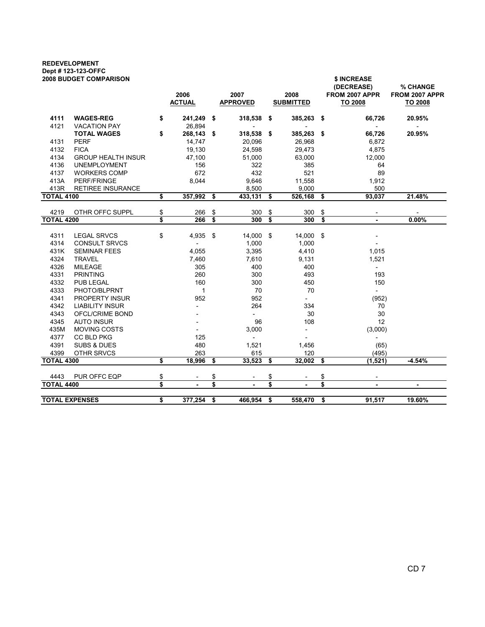## REDEVELOPMENT Dept # 123-123-OFFC

| <b>2008 BUDGET COMPARISON</b> |                           | 2006<br><b>ACTUAL</b> |                |      | 2007<br><b>APPROVED</b>  |      | 2008<br><b>SUBMITTED</b> |                      | \$ INCREASE<br>(DECREASE)<br>FROM 2007 APPR<br><b>TO 2008</b> | % CHANGE<br>FROM 2007 APPR<br><b>TO 2008</b> |
|-------------------------------|---------------------------|-----------------------|----------------|------|--------------------------|------|--------------------------|----------------------|---------------------------------------------------------------|----------------------------------------------|
| 4111                          | <b>WAGES-REG</b>          | \$                    | 241,249 \$     |      | 318,538                  | - \$ | 385,263                  | \$                   | 66,726                                                        | 20.95%                                       |
| 4121                          | <b>VACATION PAY</b>       |                       | 26,894         |      |                          |      |                          |                      |                                                               |                                              |
|                               | <b>TOTAL WAGES</b>        | \$                    | 268,143 \$     |      | 318,538 \$               |      | 385,263 \$               |                      | 66,726                                                        | 20.95%                                       |
| 4131                          | <b>PERF</b>               |                       | 14,747         |      | 20,096                   |      | 26,968                   |                      | 6,872                                                         |                                              |
| 4132                          | <b>FICA</b>               |                       | 19,130         |      | 24,598                   |      | 29,473                   |                      | 4,875                                                         |                                              |
| 4134                          | <b>GROUP HEALTH INSUR</b> |                       | 47,100         |      | 51,000                   |      | 63,000                   |                      | 12,000                                                        |                                              |
| 4136                          | <b>UNEMPLOYMENT</b>       |                       | 156            |      | 322                      |      | 385                      |                      | 64                                                            |                                              |
| 4137                          | <b>WORKERS COMP</b>       |                       | 672            |      | 432                      |      | 521                      |                      | 89                                                            |                                              |
| 413A                          | <b>PERF/FRINGE</b>        |                       | 8,044          |      | 9,646                    |      | 11,558                   |                      | 1,912                                                         |                                              |
| 413R                          | <b>RETIREE INSURANCE</b>  |                       |                |      | 8,500                    |      | 9,000                    |                      | 500                                                           |                                              |
| <b>TOTAL 4100</b>             |                           | \$                    | 357,992        | \$   | 433,131                  | \$   | 526,168 \$               |                      | 93,037                                                        | 21.48%                                       |
| 4219                          | OTHR OFFC SUPPL           | \$                    | 266            | \$   | 300                      | \$   | 300                      | $\pmb{\mathfrak{z}}$ |                                                               |                                              |
| <b>TOTAL 4200</b>             |                           | \$                    | 266            | \$   | 300                      | \$   | 300                      | \$                   | $\blacksquare$                                                | 0.00%                                        |
|                               |                           |                       |                |      |                          |      |                          |                      |                                                               |                                              |
| 4311                          | <b>LEGAL SRVCS</b>        | \$                    | 4,935          | - \$ | 14,000 \$                |      | 14,000 \$                |                      |                                                               |                                              |
| 4314                          | <b>CONSULT SRVCS</b>      |                       | $\blacksquare$ |      | 1,000                    |      | 1,000                    |                      |                                                               |                                              |
| 431K                          | <b>SEMINAR FEES</b>       |                       | 4,055          |      | 3,395                    |      | 4,410                    |                      | 1,015                                                         |                                              |
| 4324                          | <b>TRAVEL</b>             |                       | 7,460          |      | 7,610                    |      | 9,131                    |                      | 1,521                                                         |                                              |
| 4326                          | <b>MILEAGE</b>            |                       | 305            |      | 400                      |      | 400                      |                      |                                                               |                                              |
| 4331                          | <b>PRINTING</b>           |                       | 260            |      | 300                      |      | 493                      |                      | 193                                                           |                                              |
| 4332                          | <b>PUB LEGAL</b>          |                       | 160            |      | 300                      |      | 450                      |                      | 150                                                           |                                              |
| 4333                          | PHOTO/BLPRNT              |                       | $\mathbf{1}$   |      | 70                       |      | 70                       |                      | $\overline{\phantom{a}}$                                      |                                              |
| 4341                          | <b>PROPERTY INSUR</b>     |                       | 952            |      | 952                      |      | $\overline{\phantom{0}}$ |                      | (952)                                                         |                                              |
| 4342                          | <b>LIABILITY INSUR</b>    |                       |                |      | 264                      |      | 334                      |                      | 70                                                            |                                              |
| 4343                          | OFCL/CRIME BOND           |                       |                |      | $\blacksquare$           |      | 30                       |                      | 30                                                            |                                              |
| 4345                          | <b>AUTO INSUR</b>         |                       |                |      | 96                       |      | 108                      |                      | 12                                                            |                                              |
| 435M                          | <b>MOVING COSTS</b>       |                       |                |      | 3,000                    |      | $\overline{\phantom{a}}$ |                      | (3,000)                                                       |                                              |
| 4377                          | <b>CC BLD PKG</b>         |                       | 125            |      | $\overline{\phantom{a}}$ |      |                          |                      |                                                               |                                              |
| 4391                          | <b>SUBS &amp; DUES</b>    |                       | 480            |      | 1,521                    |      | 1,456                    |                      | (65)                                                          |                                              |
| 4399                          | OTHR SRVCS                |                       | 263            |      | 615                      |      | 120                      |                      | (495)                                                         |                                              |
| <b>TOTAL 4300</b>             |                           | \$                    | 18,996         | - \$ | 33,523                   | \$   | 32,002                   | - \$                 | (1,521)                                                       | $-4.54%$                                     |
| 4443                          | PUR OFFC EQP              | \$                    |                | \$   |                          | \$   |                          | \$                   |                                                               |                                              |
| <b>TOTAL 4400</b>             |                           | \$                    | $\blacksquare$ | \$   | $\overline{\phantom{a}}$ | \$   | $\blacksquare$           | \$                   | $\blacksquare$                                                | $\blacksquare$                               |
|                               |                           |                       |                |      |                          |      |                          |                      |                                                               |                                              |
|                               | <b>TOTAL EXPENSES</b>     | \$                    | 377,254        | \$   | 466,954                  | \$   | 558,470                  | \$                   | 91,517                                                        | 19.60%                                       |
|                               |                           |                       |                |      |                          |      |                          |                      |                                                               |                                              |